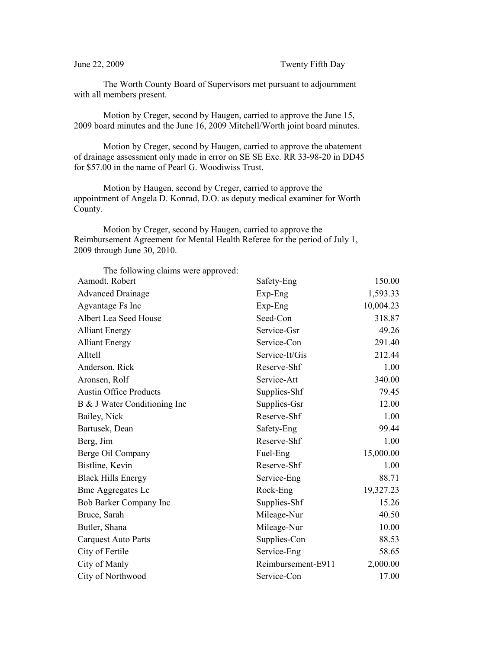June 22, 2009 Twenty Fifth Day

The Worth County Board of Supervisors met pursuant to adjournment with all members present.

Motion by Creger, second by Haugen, carried to approve the June 15, 2009 board minutes and the June 16, 2009 Mitchell/Worth joint board minutes.

Motion by Creger, second by Haugen, carried to approve the abatement of drainage assessment only made in error on SE SE Exc. RR 33-98-20 in DD45 for \$57.00 in the name of Pearl G. Woodiwiss Trust.

Motion by Haugen, second by Creger, carried to approve the appointment of Angela D. Konrad, D.O. as deputy medical examiner for Worth County.

Motion by Creger, second by Haugen, carried to approve the Reimbursement Agreement for Mental Health Referee for the period of July 1, 2009 through June 30, 2010.

| The following claims were approved: |                    |           |
|-------------------------------------|--------------------|-----------|
| Aamodt, Robert                      | Safety-Eng         | 150.00    |
| <b>Advanced Drainage</b>            | $Exp-Eng$          | 1,593.33  |
| Agvantage Fs Inc                    | Exp-Eng            | 10,004.23 |
| Albert Lea Seed House               | Seed-Con           | 318.87    |
| <b>Alliant Energy</b>               | Service-Gsr        | 49.26     |
| <b>Alliant Energy</b>               | Service-Con        | 291.40    |
| Alltell                             | Service-It/Gis     | 212.44    |
| Anderson, Rick                      | Reserve-Shf        | 1.00      |
| Aronsen, Rolf                       | Service-Att        | 340.00    |
| <b>Austin Office Products</b>       | Supplies-Shf       | 79.45     |
| B & J Water Conditioning Inc        | Supplies-Gsr       | 12.00     |
| Bailey, Nick                        | Reserve-Shf        | 1.00      |
| Bartusek, Dean                      | Safety-Eng         | 99.44     |
| Berg, Jim                           | Reserve-Shf        | 1.00      |
| Berge Oil Company                   | Fuel-Eng           | 15,000.00 |
| Bistline, Kevin                     | Reserve-Shf        | 1.00      |
| <b>Black Hills Energy</b>           | Service-Eng        | 88.71     |
| <b>Bmc Aggregates Lc</b>            | Rock-Eng           | 19,327.23 |
| Bob Barker Company Inc              | Supplies-Shf       | 15.26     |
| Bruce, Sarah                        | Mileage-Nur        | 40.50     |
| Butler, Shana                       | Mileage-Nur        | 10.00     |
| <b>Carquest Auto Parts</b>          | Supplies-Con       | 88.53     |
| City of Fertile                     | Service-Eng        | 58.65     |
| City of Manly                       | Reimbursement-E911 | 2,000.00  |
| City of Northwood                   | Service-Con        | 17.00     |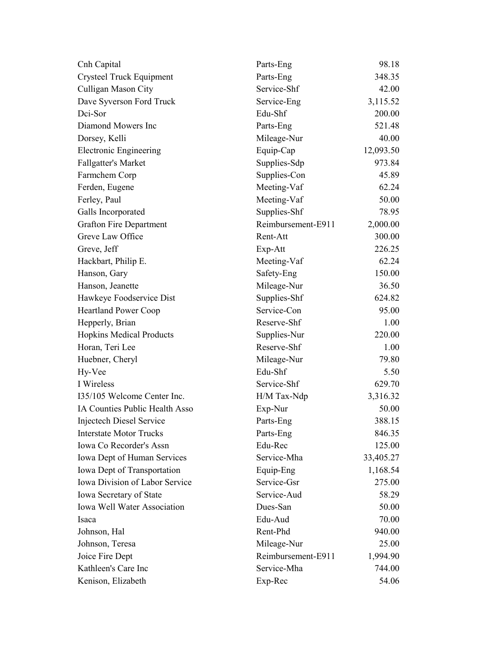| Cnh Capital                        | Parts-Eng          | 98.18     |
|------------------------------------|--------------------|-----------|
| Crysteel Truck Equipment           | Parts-Eng          | 348.35    |
| Culligan Mason City                | Service-Shf        | 42.00     |
| Dave Syverson Ford Truck           | Service-Eng        | 3,115.52  |
| Dci-Sor                            | Edu-Shf            | 200.00    |
| Diamond Mowers Inc                 | Parts-Eng          | 521.48    |
| Dorsey, Kelli                      | Mileage-Nur        | 40.00     |
| <b>Electronic Engineering</b>      | Equip-Cap          | 12,093.50 |
| Fallgatter's Market                | Supplies-Sdp       | 973.84    |
| Farmchem Corp                      | Supplies-Con       | 45.89     |
| Ferden, Eugene                     | Meeting-Vaf        | 62.24     |
| Ferley, Paul                       | Meeting-Vaf        | 50.00     |
| Galls Incorporated                 | Supplies-Shf       | 78.95     |
| <b>Grafton Fire Department</b>     | Reimbursement-E911 | 2,000.00  |
| Greve Law Office                   | Rent-Att           | 300.00    |
| Greve, Jeff                        | Exp-Att            | 226.25    |
| Hackbart, Philip E.                | Meeting-Vaf        | 62.24     |
| Hanson, Gary                       | Safety-Eng         | 150.00    |
| Hanson, Jeanette                   | Mileage-Nur        | 36.50     |
| Hawkeye Foodservice Dist           | Supplies-Shf       | 624.82    |
| <b>Heartland Power Coop</b>        | Service-Con        | 95.00     |
| Hepperly, Brian                    | Reserve-Shf        | 1.00      |
| <b>Hopkins Medical Products</b>    | Supplies-Nur       | 220.00    |
| Horan, Teri Lee                    | Reserve-Shf        | 1.00      |
| Huebner, Cheryl                    | Mileage-Nur        | 79.80     |
| Hy-Vee                             | Edu-Shf            | 5.50      |
| I Wireless                         | Service-Shf        | 629.70    |
| 135/105 Welcome Center Inc.        | H/M Tax-Ndp        | 3,316.32  |
| IA Counties Public Health Asso     | Exp-Nur            | 50.00     |
| <b>Injectech Diesel Service</b>    | Parts-Eng          | 388.15    |
| <b>Interstate Motor Trucks</b>     | Parts-Eng          | 846.35    |
| Iowa Co Recorder's Assn            | Edu-Rec            | 125.00    |
| Iowa Dept of Human Services        | Service-Mha        | 33,405.27 |
| Iowa Dept of Transportation        | Equip-Eng          | 1,168.54  |
| Iowa Division of Labor Service     | Service-Gsr        | 275.00    |
| Iowa Secretary of State            | Service-Aud        | 58.29     |
| <b>Iowa Well Water Association</b> | Dues-San           | 50.00     |
| Isaca                              | Edu-Aud            | 70.00     |
| Johnson, Hal                       | Rent-Phd           | 940.00    |
| Johnson, Teresa                    | Mileage-Nur        | 25.00     |
| Joice Fire Dept                    | Reimbursement-E911 | 1,994.90  |
| Kathleen's Care Inc                | Service-Mha        | 744.00    |
| Kenison, Elizabeth                 | Exp-Rec            | 54.06     |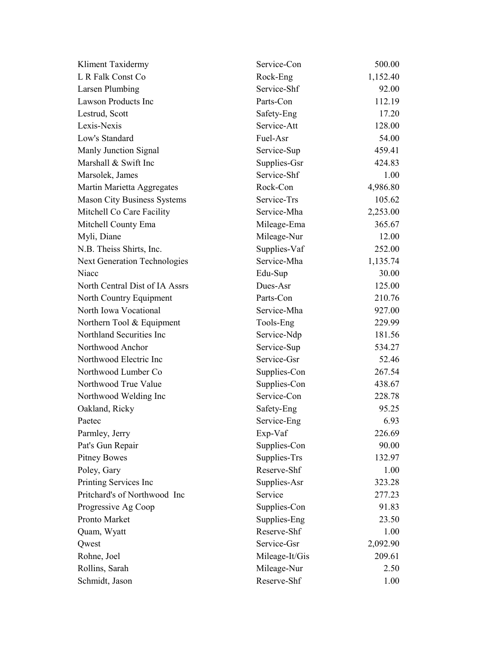| Kliment Taxidermy                   | Service-Con    | 500.00   |
|-------------------------------------|----------------|----------|
| L R Falk Const Co                   | Rock-Eng       | 1,152.40 |
| <b>Larsen Plumbing</b>              | Service-Shf    | 92.00    |
| <b>Lawson Products Inc</b>          | Parts-Con      | 112.19   |
| Lestrud, Scott                      | Safety-Eng     | 17.20    |
| Lexis-Nexis                         | Service-Att    | 128.00   |
| Low's Standard                      | Fuel-Asr       | 54.00    |
| Manly Junction Signal               | Service-Sup    | 459.41   |
| Marshall & Swift Inc                | Supplies-Gsr   | 424.83   |
| Marsolek, James                     | Service-Shf    | 1.00     |
| Martin Marietta Aggregates          | Rock-Con       | 4,986.80 |
| <b>Mason City Business Systems</b>  | Service-Trs    | 105.62   |
| Mitchell Co Care Facility           | Service-Mha    | 2,253.00 |
| Mitchell County Ema                 | Mileage-Ema    | 365.67   |
| Myli, Diane                         | Mileage-Nur    | 12.00    |
| N.B. Theiss Shirts, Inc.            | Supplies-Vaf   | 252.00   |
| <b>Next Generation Technologies</b> | Service-Mha    | 1,135.74 |
| Niacc                               | Edu-Sup        | 30.00    |
| North Central Dist of IA Assrs      | Dues-Asr       | 125.00   |
| North Country Equipment             | Parts-Con      | 210.76   |
| North Iowa Vocational               | Service-Mha    | 927.00   |
| Northern Tool & Equipment           | Tools-Eng      | 229.99   |
| Northland Securities Inc            | Service-Ndp    | 181.56   |
| Northwood Anchor                    | Service-Sup    | 534.27   |
| Northwood Electric Inc              | Service-Gsr    | 52.46    |
| Northwood Lumber Co                 | Supplies-Con   | 267.54   |
| Northwood True Value                | Supplies-Con   | 438.67   |
| Northwood Welding Inc               | Service-Con    | 228.78   |
| Oakland, Ricky                      | Safety-Eng     | 95.25    |
| Paetec                              | Service-Eng    | 6.93     |
| Parmley, Jerry                      | Exp-Vaf        | 226.69   |
| Pat's Gun Repair                    | Supplies-Con   | 90.00    |
| <b>Pitney Bowes</b>                 | Supplies-Trs   | 132.97   |
| Poley, Gary                         | Reserve-Shf    | 1.00     |
| Printing Services Inc               | Supplies-Asr   | 323.28   |
| Pritchard's of Northwood Inc        | Service        | 277.23   |
| Progressive Ag Coop                 | Supplies-Con   | 91.83    |
| Pronto Market                       | Supplies-Eng   | 23.50    |
| Quam, Wyatt                         | Reserve-Shf    | 1.00     |
| Qwest                               | Service-Gsr    | 2,092.90 |
| Rohne, Joel                         | Mileage-It/Gis | 209.61   |
| Rollins, Sarah                      | Mileage-Nur    | 2.50     |
| Schmidt, Jason                      | Reserve-Shf    | 1.00     |